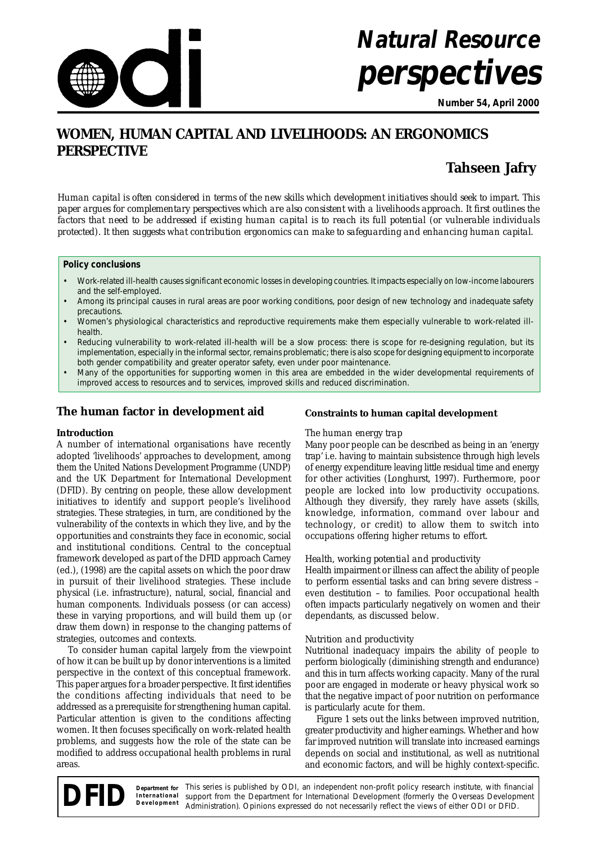

# **Natural Resource perspectives**

**Number 54, April 2000**

# **WOMEN, HUMAN CAPITAL AND LIVELIHOODS: AN ERGONOMICS PERSPECTIVE**

# **Tahseen Jafry**

*Human capital is often considered in terms of the new skills which development initiatives should seek to impart. This paper argues for complementary perspectives which are also consistent with a livelihoods approach. It first outlines the factors that need to be addressed if existing human capital is to reach its full potential (or vulnerable individuals protected). It then suggests what contribution ergonomics can make to safeguarding and enhancing human capital.*

#### **Policy conclusions**

- Work-related ill-health causes significant economic losses in developing countries. It impacts especially on low-income labourers and the self-employed.
- Among its principal causes in rural areas are poor working conditions, poor design of new technology and inadequate safety precautions.
- Women's physiological characteristics and reproductive requirements make them especially vulnerable to work-related illhealth.
- Reducing vulnerability to work-related ill-health will be a slow process: there is scope for re-designing regulation, but its implementation, especially in the informal sector, remains problematic; there is also scope for designing equipment to incorporate both gender compatibility and greater operator safety, even under poor maintenance.
- Many of the opportunities for supporting women in this area are embedded in the wider developmental requirements of improved access to resources and to services, improved skills and reduced discrimination.

# **The human factor in development aid**

# **Introduction**

A number of international organisations have recently adopted 'livelihoods' approaches to development, among them the United Nations Development Programme (UNDP) and the UK Department for International Development (DFID). By centring on people, these allow development initiatives to identify and support people's livelihood strategies. These strategies, in turn, are conditioned by the vulnerability of the contexts in which they live, and by the opportunities and constraints they face in economic, social and institutional conditions. Central to the conceptual framework developed as part of the DFID approach Carney (ed.), (1998) are the capital assets on which the poor draw in pursuit of their livelihood strategies. These include physical (i.e. infrastructure), natural, social, financial and human components. Individuals possess (or can access) these in varying proportions, and will build them up (or draw them down) in response to the changing patterns of strategies, outcomes and contexts.

To consider human capital largely from the viewpoint of how it can be built up by donor interventions is a limited perspective in the context of this conceptual framework. This paper argues for a broader perspective. It first identifies the conditions affecting individuals that need to be addressed as a prerequisite for strengthening human capital. Particular attention is given to the conditions affecting women. It then focuses specifically on work-related health problems, and suggests how the role of the state can be modified to address occupational health problems in rural areas.

# **Constraints to human capital development**

# *The human energy trap*

Many poor people can be described as being in an 'energy trap' i.e. having to maintain subsistence through high levels of energy expenditure leaving little residual time and energy for other activities (Longhurst, 1997). Furthermore, poor people are locked into low productivity occupations. Although they diversify, they rarely have assets (skills, knowledge, information, command over labour and technology, or credit) to allow them to switch into occupations offering higher returns to effort.

# *Health, working potential and productivity*

Health impairment or illness can affect the ability of people to perform essential tasks and can bring severe distress – even destitution – to families. Poor occupational health often impacts particularly negatively on women and their dependants, as discussed below.

# *Nutrition and productivity*

Nutritional inadequacy impairs the ability of people to perform biologically (diminishing strength and endurance) and this in turn affects working capacity. Many of the rural poor are engaged in moderate or heavy physical work so that the negative impact of poor nutrition on performance is particularly acute for them.

Figure 1 sets out the links between improved nutrition, greater productivity and higher earnings. Whether and how far improved nutrition will translate into increased earnings depends on social and institutional, as well as nutritional and economic factors, and will be highly context-specific.

This series is published by ODI, an independent non-profit policy research institute, with financial support from the Department for International Development (formerly the Overseas Development Administration). Opinions expressed do not necessarily reflect the views of either ODI or DFID. **Department for International Development**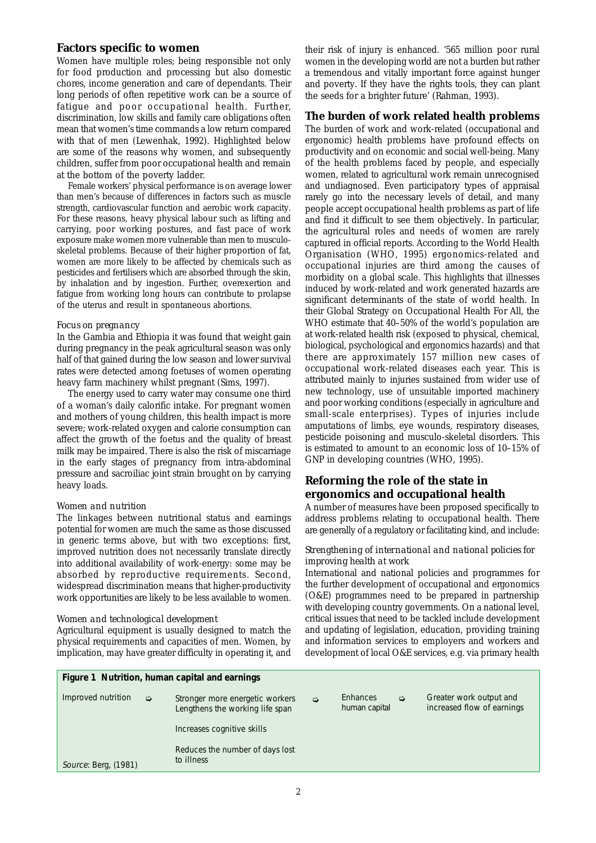## **Factors specific to women**

Women have multiple roles; being responsible not only for food production and processing but also domestic chores, income generation and care of dependants. Their long periods of often repetitive work can be a source of fatigue and poor occupational health. Further, discrimination, low skills and family care obligations often mean that women's time commands a low return compared with that of men (Lewenhak, 1992). Highlighted below are some of the reasons why women, and subsequently children, suffer from poor occupational health and remain at the bottom of the poverty ladder.

Female workers' physical performance is on average lower than men's because of differences in factors such as muscle strength, cardiovascular function and aerobic work capacity. For these reasons, heavy physical labour such as lifting and carrying, poor working postures, and fast pace of work exposure make women more vulnerable than men to musculoskeletal problems. Because of their higher proportion of fat, women are more likely to be affected by chemicals such as pesticides and fertilisers which are absorbed through the skin, by inhalation and by ingestion. Further, overexertion and fatigue from working long hours can contribute to prolapse of the uterus and result in spontaneous abortions.

#### *Focus on pregnancy*

In the Gambia and Ethiopia it was found that weight gain during pregnancy in the peak agricultural season was only half of that gained during the low season and lower survival rates were detected among foetuses of women operating heavy farm machinery whilst pregnant (Sims, 1997).

The energy used to carry water may consume one third of a woman's daily calorific intake. For pregnant women and mothers of young children, this health impact is more severe; work-related oxygen and calorie consumption can affect the growth of the foetus and the quality of breast milk may be impaired. There is also the risk of miscarriage in the early stages of pregnancy from intra-abdominal pressure and sacroiliac joint strain brought on by carrying heavy loads.

#### *Women and nutrition*

The linkages between nutritional status and earnings potential for women are much the same as those discussed in generic terms above, but with two exceptions: first, improved nutrition does not necessarily translate directly into additional availability of work-energy: some may be absorbed by reproductive requirements. Second, widespread discrimination means that higher-productivity work opportunities are likely to be less available to women.

# *Women and technological development*

Agricultural equipment is usually designed to match the physical requirements and capacities of men. Women, by implication, may have greater difficulty in operating it, and their risk of injury is enhanced. '565 million poor rural women in the developing world are not a burden but rather a tremendous and vitally important force against hunger and poverty. If they have the rights tools, they can plant the seeds for a brighter future' (Rahman, 1993).

#### **The burden of work related health problems**

The burden of work and work-related (occupational and ergonomic) health problems have profound effects on productivity and on economic and social well-being. Many of the health problems faced by people, and especially women, related to agricultural work remain unrecognised and undiagnosed. Even participatory types of appraisal rarely go into the necessary levels of detail, and many people accept occupational health problems as part of life and find it difficult to see them objectively. In particular, the agricultural roles and needs of women are rarely captured in official reports. According to the World Health Organisation (WHO, 1995) ergonomics-related and occupational injuries are third among the causes of morbidity on a global scale. This highlights that illnesses induced by work-related and work generated hazards are significant determinants of the state of world health. In their Global Strategy on Occupational Health For All, the WHO estimate that 40–50% of the world's population are at work-related health risk (exposed to physical, chemical, biological, psychological and ergonomics hazards) and that there are approximately 157 million new cases of occupational work-related diseases each year. This is attributed mainly to injuries sustained from wider use of new technology, use of unsuitable imported machinery and poor working conditions (especially in agriculture and small-scale enterprises). Types of injuries include amputations of limbs, eye wounds, respiratory diseases, pesticide poisoning and musculo-skeletal disorders. This is estimated to amount to an economic loss of 10–15% of GNP in developing countries (WHO, 1995).

# **Reforming the role of the state in ergonomics and occupational health**

A number of measures have been proposed specifically to address problems relating to occupational health. There are generally of a regulatory or facilitating kind, and include:

#### *Strengthening of international and national policies for improving health at work*

International and national policies and programmes for the further development of occupational and ergonomics (O&E) programmes need to be prepared in partnership with developing country governments. On a national level, critical issues that need to be tackled include development and updating of legislation, education, providing training and information services to employers and workers and development of local O&E services, e.g. via primary health

| Figure 1 Nutrition, human capital and earnings |               |                                                                    |   |                           |               |                                                       |
|------------------------------------------------|---------------|--------------------------------------------------------------------|---|---------------------------|---------------|-------------------------------------------------------|
| Improved nutrition                             | $\Rightarrow$ | Stronger more energetic workers<br>Lengthens the working life span | ⇨ | Enhances<br>human capital | $\Rightarrow$ | Greater work output and<br>increased flow of earnings |
|                                                |               | Increases cognitive skills                                         |   |                           |               |                                                       |
| Source: Berg, (1981)                           |               | Reduces the number of days lost<br>to illness                      |   |                           |               |                                                       |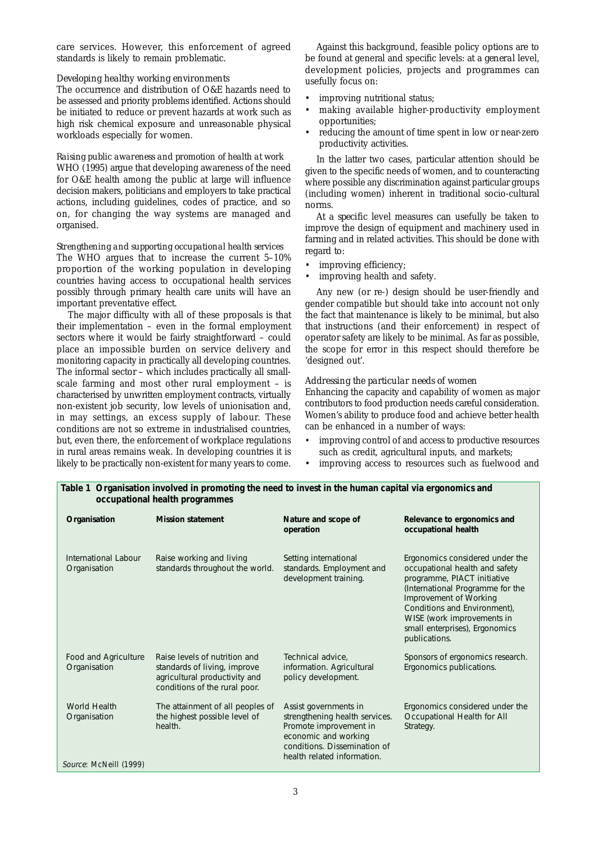care services. However, this enforcement of agreed standards is likely to remain problematic.

#### *Developing healthy working environments*

The occurrence and distribution of O&E hazards need to be assessed and priority problems identified. Actions should be initiated to reduce or prevent hazards at work such as high risk chemical exposure and unreasonable physical workloads especially for women.

#### *Raising public awareness and promotion of health at work*

WHO (1995) argue that developing awareness of the need for O&E health among the public at large will influence decision makers, politicians and employers to take practical actions, including guidelines, codes of practice, and so on, for changing the way systems are managed and organised.

# *Strengthening and supporting occupational health services*

The WHO argues that to increase the current 5–10% proportion of the working population in developing countries having access to occupational health services possibly through primary health care units will have an important preventative effect.

The major difficulty with all of these proposals is that their implementation – even in the formal employment sectors where it would be fairly straightforward – could place an impossible burden on service delivery and monitoring capacity in practically all developing countries. The informal sector – which includes practically all smallscale farming and most other rural employment – is characterised by unwritten employment contracts, virtually non-existent job security, low levels of unionisation and, in may settings, an excess supply of labour. These conditions are not so extreme in industrialised countries, but, even there, the enforcement of workplace regulations in rural areas remains weak. In developing countries it is likely to be practically non-existent for many years to come.

Against this background, feasible policy options are to be found at general and specific levels: at a *general* level, development policies, projects and programmes can usefully focus on:

- improving nutritional status:
- making available higher-productivity employment opportunities;
- reducing the amount of time spent in low or near-zero productivity activities.

In the latter two cases, particular attention should be given to the specific needs of women, and to counteracting where possible any discrimination against particular groups (including women) inherent in traditional socio-cultural norms.

At a *specific* level measures can usefully be taken to improve the design of equipment and machinery used in farming and in related activities. This should be done with regard to:

- improving efficiency;
- improving health and safety.

Any new (or re-) design should be user-friendly and gender compatible but should take into account not only the fact that maintenance is likely to be minimal, but also that instructions (and their enforcement) in respect of operator safety are likely to be minimal. As far as possible, the scope for error in this respect should therefore be 'designed out'.

#### *Addressing the particular needs of women*

Enhancing the capacity and capability of women as major contributors to food production needs careful consideration. Women's ability to produce food and achieve better health can be enhanced in a number of ways:

- improving control of and access to productive resources such as credit, agricultural inputs, and markets;
- improving access to resources such as fuelwood and

| Organisation                                           | <b>Mission statement</b>                                                                                                        | Nature and scope of<br>operation                                                                                                                                         | Relevance to ergonomics and<br>occupational health                                                                                                                                                                                                                              |
|--------------------------------------------------------|---------------------------------------------------------------------------------------------------------------------------------|--------------------------------------------------------------------------------------------------------------------------------------------------------------------------|---------------------------------------------------------------------------------------------------------------------------------------------------------------------------------------------------------------------------------------------------------------------------------|
| International Labour<br>Organisation                   | Raise working and living<br>standards throughout the world.                                                                     | Setting international<br>standards. Employment and<br>development training.                                                                                              | Ergonomics considered under the<br>occupational health and safety<br>programme, PIACT initiative<br>(International Programme for the<br>Improvement of Working<br>Conditions and Environment),<br>WISE (work improvements in<br>small enterprises), Ergonomics<br>publications. |
| Food and Agriculture<br>Organisation                   | Raise levels of nutrition and<br>standards of living, improve<br>agricultural productivity and<br>conditions of the rural poor. | Technical advice,<br>information. Agricultural<br>policy development.                                                                                                    | Sponsors of ergonomics research.<br>Ergonomics publications.                                                                                                                                                                                                                    |
| World Health<br>Organisation<br>Source: McNeill (1999) | The attainment of all peoples of<br>the highest possible level of<br>health.                                                    | Assist governments in<br>strengthening health services.<br>Promote improvement in<br>economic and working<br>conditions. Dissemination of<br>health related information. | Ergonomics considered under the<br>Occupational Health for All<br>Strategy.                                                                                                                                                                                                     |

| Table 1 Organisation involved in promoting the need to invest in the human capital via ergonomics and |
|-------------------------------------------------------------------------------------------------------|
| occupational health programmes                                                                        |